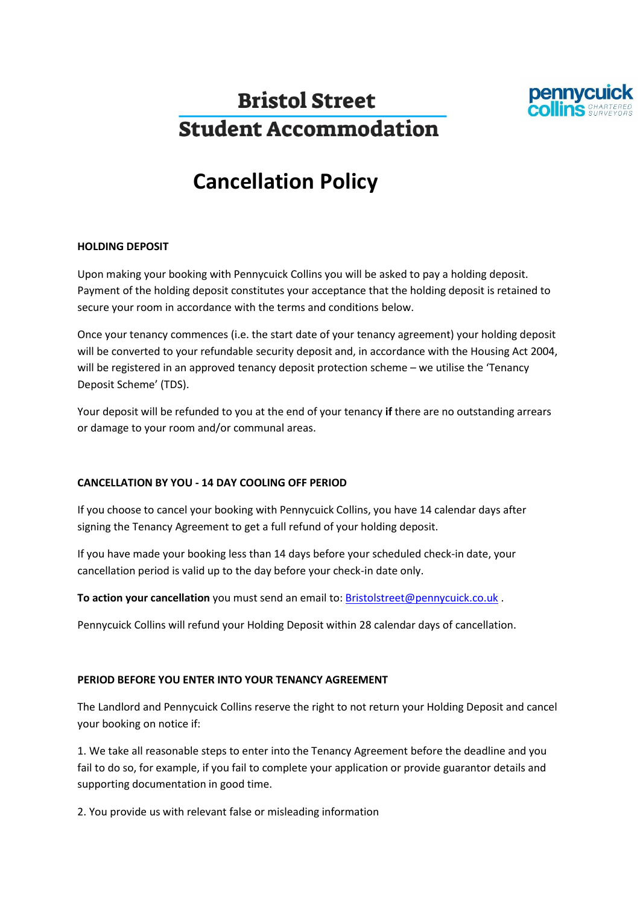

# **Bristol Street Student Accommodation**

# **Cancellation Policy**

### **HOLDING DEPOSIT**

Upon making your booking with Pennycuick Collins you will be asked to pay a holding deposit. Payment of the holding deposit constitutes your acceptance that the holding deposit is retained to secure your room in accordance with the terms and conditions below.

Once your tenancy commences (i.e. the start date of your tenancy agreement) your holding deposit will be converted to your refundable security deposit and, in accordance with the Housing Act 2004, will be registered in an approved tenancy deposit protection scheme – we utilise the 'Tenancy Deposit Scheme' (TDS).

Your deposit will be refunded to you at the end of your tenancy **if** there are no outstanding arrears or damage to your room and/or communal areas.

### **CANCELLATION BY YOU - 14 DAY COOLING OFF PERIOD**

If you choose to cancel your booking with Pennycuick Collins, you have 14 calendar days after signing the Tenancy Agreement to get a full refund of your holding deposit.

If you have made your booking less than 14 days before your scheduled check-in date, your cancellation period is valid up to the day before your check-in date only.

**To action your cancellation** you must send an email to: [Bristolstreet@pennycuick.co.uk](mailto:Bristolstreet@pennycuick.co.uk).

Pennycuick Collins will refund your Holding Deposit within 28 calendar days of cancellation.

#### **PERIOD BEFORE YOU ENTER INTO YOUR TENANCY AGREEMENT**

The Landlord and Pennycuick Collins reserve the right to not return your Holding Deposit and cancel your booking on notice if:

1. We take all reasonable steps to enter into the Tenancy Agreement before the deadline and you fail to do so, for example, if you fail to complete your application or provide guarantor details and supporting documentation in good time.

2. You provide us with relevant false or misleading information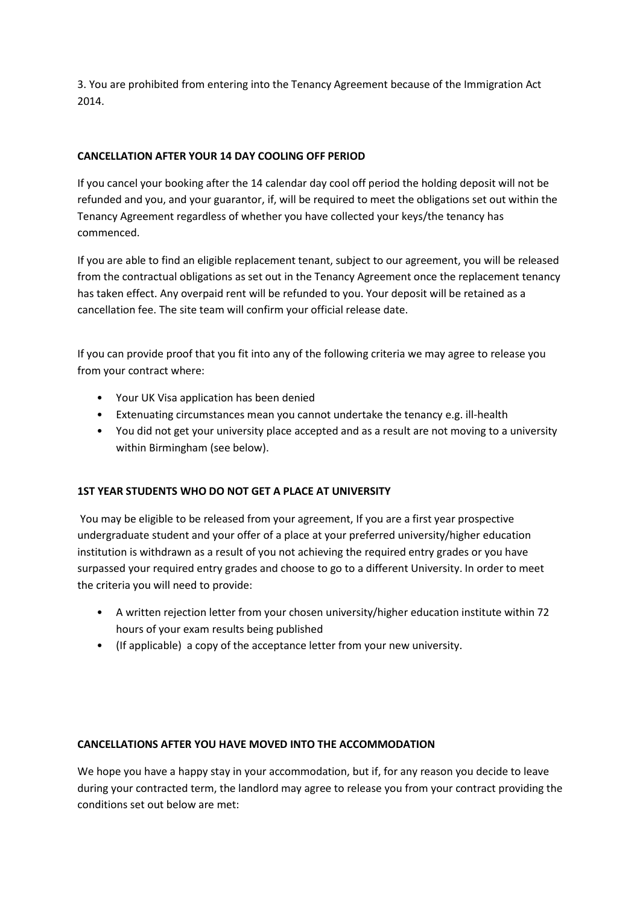3. You are prohibited from entering into the Tenancy Agreement because of the Immigration Act 2014.

## **CANCELLATION AFTER YOUR 14 DAY COOLING OFF PERIOD**

If you cancel your booking after the 14 calendar day cool off period the holding deposit will not be refunded and you, and your guarantor, if, will be required to meet the obligations set out within the Tenancy Agreement regardless of whether you have collected your keys/the tenancy has commenced.

If you are able to find an eligible replacement tenant, subject to our agreement, you will be released from the contractual obligations as set out in the Tenancy Agreement once the replacement tenancy has taken effect. Any overpaid rent will be refunded to you. Your deposit will be retained as a cancellation fee. The site team will confirm your official release date.

If you can provide proof that you fit into any of the following criteria we may agree to release you from your contract where:

- Your UK Visa application has been denied
- Extenuating circumstances mean you cannot undertake the tenancy e.g. ill-health
- You did not get your university place accepted and as a result are not moving to a university within Birmingham (see below).

### **1ST YEAR STUDENTS WHO DO NOT GET A PLACE AT UNIVERSITY**

You may be eligible to be released from your agreement, If you are a first year prospective undergraduate student and your offer of a place at your preferred university/higher education institution is withdrawn as a result of you not achieving the required entry grades or you have surpassed your required entry grades and choose to go to a different University. In order to meet the criteria you will need to provide:

- A written rejection letter from your chosen university/higher education institute within 72 hours of your exam results being published
- (If applicable) a copy of the acceptance letter from your new university.

### **CANCELLATIONS AFTER YOU HAVE MOVED INTO THE ACCOMMODATION**

We hope you have a happy stay in your accommodation, but if, for any reason you decide to leave during your contracted term, the landlord may agree to release you from your contract providing the conditions set out below are met: